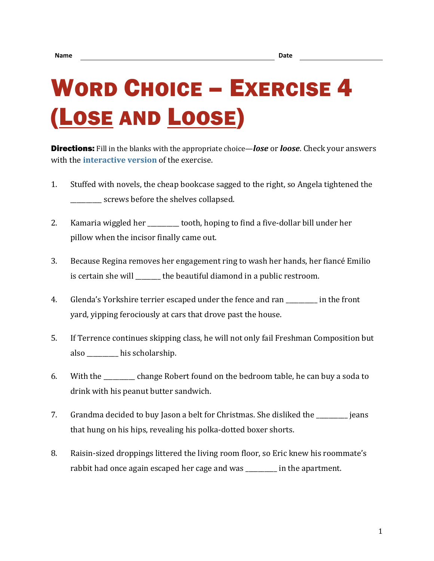## WORD CHOICE – EXERCISE 4 (LOSE AND LOOSE)

Directions: Fill in the blanks with the appropriate choice—*lose* or *loose*. Check your answers with the **[interactive version](https://chompchomp.com/hotpotatoes/wordchoice04.htm)** of the exercise.

- 1. Stuffed with novels, the cheap bookcase sagged to the right, so Angela tightened the screws before the shelves collapsed.
- 2. Kamaria wiggled her \_\_\_\_\_\_\_\_\_ tooth, hoping to find a five-dollar bill under her pillow when the incisor finally came out.
- 3. Because Regina removes her engagement ring to wash her hands, her fiancé Emilio is certain she will \_\_\_\_\_\_\_ the beautiful diamond in a public restroom.
- 4. Glenda's Yorkshire terrier escaped under the fence and ran \_\_\_\_\_\_\_\_\_\_ in the front yard, yipping ferociously at cars that drove past the house.
- 5. If Terrence continues skipping class, he will not only fail Freshman Composition but also \_\_\_\_\_\_\_\_\_\_ his scholarship.
- 6. With the \_\_\_\_\_\_\_\_\_\_ change Robert found on the bedroom table, he can buy a soda to drink with his peanut butter sandwich.
- 7. Grandma decided to buy Jason a belt for Christmas. She disliked the \_\_\_\_\_\_\_\_\_\_ jeans that hung on his hips, revealing his polka-dotted boxer shorts.
- 8. Raisin-sized droppings littered the living room floor, so Eric knew his roommate's rabbit had once again escaped her cage and was **the apartment**.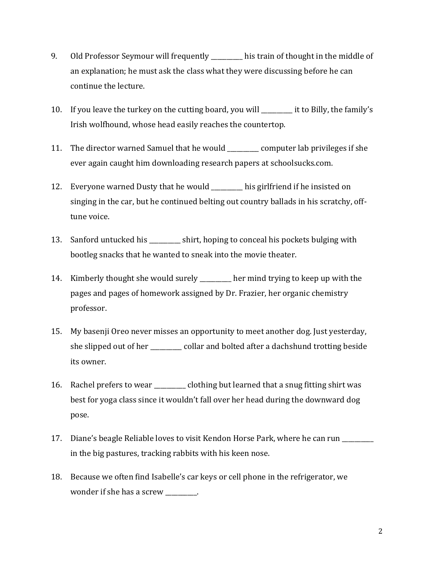- 9. Old Professor Seymour will frequently \_\_\_\_\_\_\_\_ his train of thought in the middle of an explanation; he must ask the class what they were discussing before he can continue the lecture.
- 10. If you leave the turkey on the cutting board, you will \_\_\_\_\_\_\_\_\_\_ it to Billy, the family's Irish wolfhound, whose head easily reaches the countertop.
- 11. The director warned Samuel that he would \_\_\_\_\_\_\_\_\_\_ computer lab privileges if she ever again caught him downloading research papers at schoolsucks.com.
- 12. Everyone warned Dusty that he would \_\_\_\_\_\_\_\_\_\_ his girlfriend if he insisted on singing in the car, but he continued belting out country ballads in his scratchy, offtune voice.
- 13. Sanford untucked his \_\_\_\_\_\_\_\_\_ shirt, hoping to conceal his pockets bulging with bootleg snacks that he wanted to sneak into the movie theater.
- 14. Kimberly thought she would surely \_\_\_\_\_\_\_\_\_\_ her mind trying to keep up with the pages and pages of homework assigned by Dr. Frazier, her organic chemistry professor.
- 15. My basenji Oreo never misses an opportunity to meet another dog. Just yesterday, she slipped out of her \_\_\_\_\_\_\_\_\_\_ collar and bolted after a dachshund trotting beside its owner.
- 16. Rachel prefers to wear \_\_\_\_\_\_\_\_\_\_ clothing but learned that a snug fitting shirt was best for yoga class since it wouldn't fall over her head during the downward dog pose.
- 17. Diane's beagle Reliable loves to visit Kendon Horse Park, where he can run in the big pastures, tracking rabbits with his keen nose.
- 18. Because we often find Isabelle's car keys or cell phone in the refrigerator, we wonder if she has a screw \_\_\_\_\_\_\_\_\_\_.